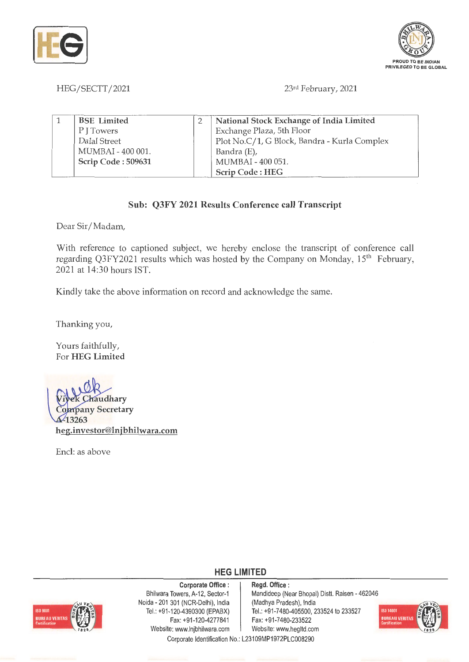



HEG/SECTT/2021

23rd February, 2021

| <b>BSE</b> Limited | National Stock Exchange of India Limited     |
|--------------------|----------------------------------------------|
| P J Towers         | Exchange Plaza, 5th Floor                    |
| Dalal Street       | Plot No.C/1, G Block, Bandra - Kurla Complex |
| MUMBAI - 400 001.  | Bandra (E),                                  |
| Scrip Code: 509631 | MUMBAI - 400 051.                            |
|                    | Scrip Code: HEG                              |

## **Sub: Q3FY 2021 Results Conference call Transcript**

Dear Sir/Madam,

With reference to captioned subject, we hereby enclose the transcript of conference call regarding Q3FY2021 results which was hosted by the Company on Monday, 15<sup>th</sup> February, 2021 at 14:30 hours IST.

Kindly take the above information on record and acknowledge the same.

Thanking you,

Yours faithfully, For **HEG Limited** 



Encl: as above



**Corporate Office** : Bhilwara Towers, A-12, Sector-1 Noida - 201 301 (NCR-Delhi), India Tel.: +91 -120-4390300 (EPABX) Fax:+91 -120-4277841 Website: www.lnjbhilwara.com <br>Website: www.hegltd.com

## **HEG LIMITED**

**Regd. Office** : Mandideep (Near Bhopal) Dist!. Raisen - 462046 (Madhya Pradesh), India Tel.: +91-7480-405500, 233524 to 233527 Fax: +91-7480-233522



Corporate Identification No.: L23109MP1972PLC008290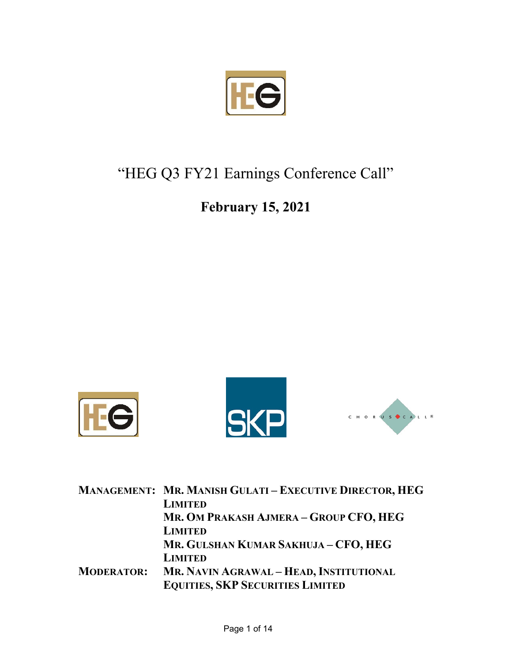

## "HEG Q3 FY21 Earnings Conference Call"

## **February 15, 2021**







|                   | MANAGEMENT: MR. MANISH GULATI - EXECUTIVE DIRECTOR, HEG |  |
|-------------------|---------------------------------------------------------|--|
|                   | <b>LIMITED</b>                                          |  |
|                   | MR. OM PRAKASH AJMERA - GROUP CFO, HEG                  |  |
|                   | <b>LIMITED</b>                                          |  |
|                   | MR. GULSHAN KUMAR SAKHUJA - CFO, HEG                    |  |
|                   | <b>LIMITED</b>                                          |  |
| <b>MODERATOR:</b> | MR. NAVIN AGRAWAL - HEAD, INSTITUTIONAL                 |  |
|                   | <b>EQUITIES, SKP SECURITIES LIMITED</b>                 |  |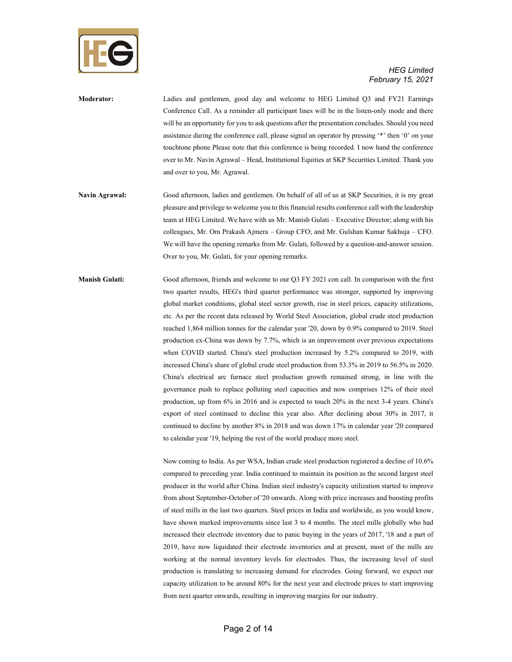

| <b>Moderator:</b> | Ladies and gentlemen, good day and welcome to HEG Limited O3 and FY21 Earnings                    |
|-------------------|---------------------------------------------------------------------------------------------------|
|                   | Conference Call. As a reminder all participant lines will be in the listen-only mode and there    |
|                   | will be an opportunity for you to ask questions after the presentation concludes. Should you need |
|                   | assistance during the conference call, please signal an operator by pressing "*" then '0' on your |
|                   | touchtone phone Please note that this conference is being recorded. I now hand the conference     |
|                   | over to Mr. Navin Agrawal – Head, Institutional Equities at SKP Securities Limited. Thank you     |
|                   | and over to you, Mr. Agrawal.                                                                     |
|                   |                                                                                                   |
| Navin Agrawal:    | Good afternoon ladies and gentlemen. On behalf of all of us at SKD Securities it is my great      |

- **Navin Agrawal:** Good afternoon, ladies and gentlemen. On behalf of all of us at SKP Securities, it is my great pleasure and privilege to welcome you to this financial results conference call with the leadership team at HEG Limited. We have with us Mr. Manish Gulati – Executive Director; along with his colleagues, Mr. Om Prakash Ajmera – Group CFO; and Mr. Gulshan Kumar Sakhuja – CFO. We will have the opening remarks from Mr. Gulati, followed by a question-and-answer session. Over to you, Mr. Gulati, for your opening remarks.
- **Manish Gulati:** Good afternoon, friends and welcome to our Q3 FY 2021 con call. In comparison with the first two quarter results, HEG's third quarter performance was stronger, supported by improving global market conditions, global steel sector growth, rise in steel prices, capacity utilizations, etc. As per the recent data released by World Steel Association, global crude steel production reached 1,864 million tonnes for the calendar year '20, down by 0.9% compared to 2019. Steel production ex-China was down by 7.7%, which is an improvement over previous expectations when COVID started. China's steel production increased by 5.2% compared to 2019, with increased China's share of global crude steel production from 53.3% in 2019 to 56.5% in 2020. China's electrical arc furnace steel production growth remained strong, in line with the governance push to replace polluting steel capacities and now comprises 12% of their steel production, up from 6% in 2016 and is expected to touch 20% in the next 3-4 years. China's export of steel continued to decline this year also. After declining about 30% in 2017, it continued to decline by another 8% in 2018 and was down 17% in calendar year '20 compared to calendar year '19, helping the rest of the world produce more steel.

Now coming to India. As per WSA, Indian crude steel production registered a decline of 10.6% compared to preceding year. India continued to maintain its position as the second largest steel producer in the world after China. Indian steel industry's capacity utilization started to improve from about September-October of '20 onwards. Along with price increases and boosting profits of steel mills in the last two quarters. Steel prices in India and worldwide, as you would know, have shown marked improvements since last 3 to 4 months. The steel mills globally who had increased their electrode inventory due to panic buying in the years of 2017, '18 and a part of 2019, have now liquidated their electrode inventories and at present, most of the mills are working at the normal inventory levels for electrodes. Thus, the increasing level of steel production is translating to increasing demand for electrodes. Going forward, we expect our capacity utilization to be around 80% for the next year and electrode prices to start improving from next quarter onwards, resulting in improving margins for our industry.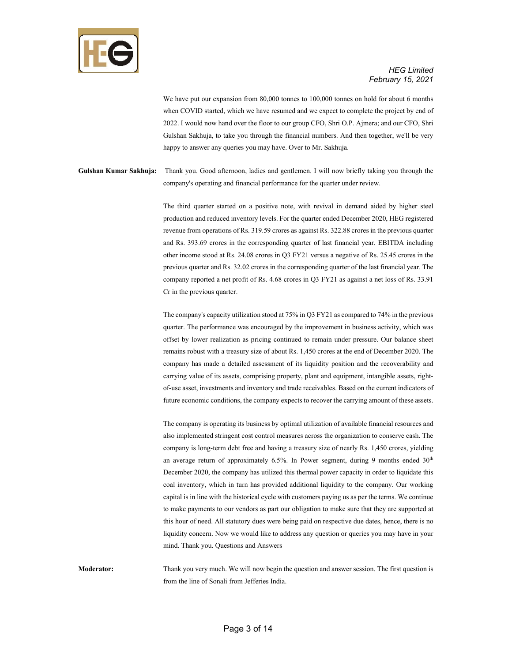

We have put our expansion from 80,000 tonnes to 100,000 tonnes on hold for about 6 months when COVID started, which we have resumed and we expect to complete the project by end of 2022. I would now hand over the floor to our group CFO, Shri O.P. Ajmera; and our CFO, Shri Gulshan Sakhuja, to take you through the financial numbers. And then together, we'll be very happy to answer any queries you may have. Over to Mr. Sakhuja.

**Gulshan Kumar Sakhuja:** Thank you. Good afternoon, ladies and gentlemen. I will now briefly taking you through the company's operating and financial performance for the quarter under review.

> The third quarter started on a positive note, with revival in demand aided by higher steel production and reduced inventory levels. For the quarter ended December 2020, HEG registered revenue from operations of Rs. 319.59 crores as against Rs. 322.88 crores in the previous quarter and Rs. 393.69 crores in the corresponding quarter of last financial year. EBITDA including other income stood at Rs. 24.08 crores in Q3 FY21 versus a negative of Rs. 25.45 crores in the previous quarter and Rs. 32.02 crores in the corresponding quarter of the last financial year. The company reported a net profit of Rs. 4.68 crores in Q3 FY21 as against a net loss of Rs. 33.91 Cr in the previous quarter.

> The company's capacity utilization stood at 75% in Q3 FY21 as compared to 74% in the previous quarter. The performance was encouraged by the improvement in business activity, which was offset by lower realization as pricing continued to remain under pressure. Our balance sheet remains robust with a treasury size of about Rs. 1,450 crores at the end of December 2020. The company has made a detailed assessment of its liquidity position and the recoverability and carrying value of its assets, comprising property, plant and equipment, intangible assets, rightof-use asset, investments and inventory and trade receivables. Based on the current indicators of future economic conditions, the company expects to recover the carrying amount of these assets.

> The company is operating its business by optimal utilization of available financial resources and also implemented stringent cost control measures across the organization to conserve cash. The company is long-term debt free and having a treasury size of nearly Rs. 1,450 crores, yielding an average return of approximately  $6.5\%$ . In Power segment, during 9 months ended  $30<sup>th</sup>$ December 2020, the company has utilized this thermal power capacity in order to liquidate this coal inventory, which in turn has provided additional liquidity to the company. Our working capital is in line with the historical cycle with customers paying us as per the terms. We continue to make payments to our vendors as part our obligation to make sure that they are supported at this hour of need. All statutory dues were being paid on respective due dates, hence, there is no liquidity concern. Now we would like to address any question or queries you may have in your mind. Thank you. Questions and Answers

**Moderator:** Thank you very much. We will now begin the question and answer session. The first question is from the line of Sonali from Jefferies India.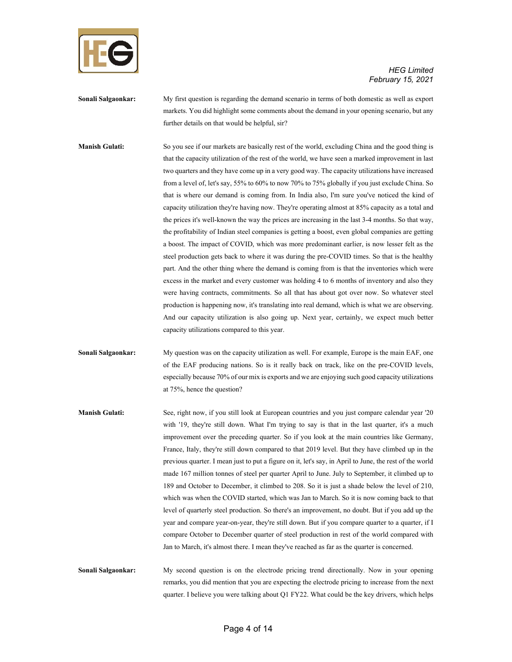

**Sonali Salgaonkar:** My first question is regarding the demand scenario in terms of both domestic as well as export markets. You did highlight some comments about the demand in your opening scenario, but any further details on that would be helpful, sir?

**Manish Gulati:** So you see if our markets are basically rest of the world, excluding China and the good thing is that the capacity utilization of the rest of the world, we have seen a marked improvement in last two quarters and they have come up in a very good way. The capacity utilizations have increased from a level of, let's say, 55% to 60% to now 70% to 75% globally if you just exclude China. So that is where our demand is coming from. In India also, I'm sure you've noticed the kind of capacity utilization they're having now. They're operating almost at 85% capacity as a total and the prices it's well-known the way the prices are increasing in the last 3-4 months. So that way, the profitability of Indian steel companies is getting a boost, even global companies are getting a boost. The impact of COVID, which was more predominant earlier, is now lesser felt as the steel production gets back to where it was during the pre-COVID times. So that is the healthy part. And the other thing where the demand is coming from is that the inventories which were excess in the market and every customer was holding 4 to 6 months of inventory and also they were having contracts, commitments. So all that has about got over now. So whatever steel production is happening now, it's translating into real demand, which is what we are observing. And our capacity utilization is also going up. Next year, certainly, we expect much better capacity utilizations compared to this year.

**Sonali Salgaonkar:** My question was on the capacity utilization as well. For example, Europe is the main EAF, one of the EAF producing nations. So is it really back on track, like on the pre-COVID levels, especially because 70% of our mix is exports and we are enjoying such good capacity utilizations at 75%, hence the question?

**Manish Gulati:** See, right now, if you still look at European countries and you just compare calendar year '20 with '19, they're still down. What I'm trying to say is that in the last quarter, it's a much improvement over the preceding quarter. So if you look at the main countries like Germany, France, Italy, they're still down compared to that 2019 level. But they have climbed up in the previous quarter. I mean just to put a figure on it, let's say, in April to June, the rest of the world made 167 million tonnes of steel per quarter April to June. July to September, it climbed up to 189 and October to December, it climbed to 208. So it is just a shade below the level of 210, which was when the COVID started, which was Jan to March. So it is now coming back to that level of quarterly steel production. So there's an improvement, no doubt. But if you add up the year and compare year-on-year, they're still down. But if you compare quarter to a quarter, if I compare October to December quarter of steel production in rest of the world compared with Jan to March, it's almost there. I mean they've reached as far as the quarter is concerned.

**Sonali Salgaonkar:** My second question is on the electrode pricing trend directionally. Now in your opening remarks, you did mention that you are expecting the electrode pricing to increase from the next quarter. I believe you were talking about Q1 FY22. What could be the key drivers, which helps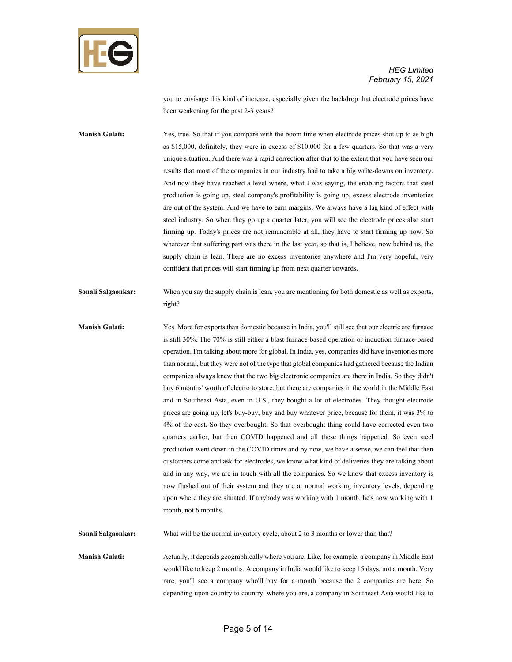

you to envisage this kind of increase, especially given the backdrop that electrode prices have been weakening for the past 2-3 years?

**Manish Gulati:** Yes, true. So that if you compare with the boom time when electrode prices shot up to as high as \$15,000, definitely, they were in excess of \$10,000 for a few quarters. So that was a very unique situation. And there was a rapid correction after that to the extent that you have seen our results that most of the companies in our industry had to take a big write-downs on inventory. And now they have reached a level where, what I was saying, the enabling factors that steel production is going up, steel company's profitability is going up, excess electrode inventories are out of the system. And we have to earn margins. We always have a lag kind of effect with steel industry. So when they go up a quarter later, you will see the electrode prices also start firming up. Today's prices are not remunerable at all, they have to start firming up now. So whatever that suffering part was there in the last year, so that is, I believe, now behind us, the supply chain is lean. There are no excess inventories anywhere and I'm very hopeful, very confident that prices will start firming up from next quarter onwards.

**Sonali Salgaonkar:** When you say the supply chain is lean, you are mentioning for both domestic as well as exports, right?

**Manish Gulati:** Yes. More for exports than domestic because in India, you'll still see that our electric arc furnace is still 30%. The 70% is still either a blast furnace-based operation or induction furnace-based operation. I'm talking about more for global. In India, yes, companies did have inventories more than normal, but they were not of the type that global companies had gathered because the Indian companies always knew that the two big electronic companies are there in India. So they didn't buy 6 months' worth of electro to store, but there are companies in the world in the Middle East and in Southeast Asia, even in U.S., they bought a lot of electrodes. They thought electrode prices are going up, let's buy-buy, buy and buy whatever price, because for them, it was 3% to 4% of the cost. So they overbought. So that overbought thing could have corrected even two quarters earlier, but then COVID happened and all these things happened. So even steel production went down in the COVID times and by now, we have a sense, we can feel that then customers come and ask for electrodes, we know what kind of deliveries they are talking about and in any way, we are in touch with all the companies. So we know that excess inventory is now flushed out of their system and they are at normal working inventory levels, depending upon where they are situated. If anybody was working with 1 month, he's now working with 1 month, not 6 months.

**Sonali Salgaonkar:** What will be the normal inventory cycle, about 2 to 3 months or lower than that?

**Manish Gulati:** Actually, it depends geographically where you are. Like, for example, a company in Middle East would like to keep 2 months. A company in India would like to keep 15 days, not a month. Very rare, you'll see a company who'll buy for a month because the 2 companies are here. So depending upon country to country, where you are, a company in Southeast Asia would like to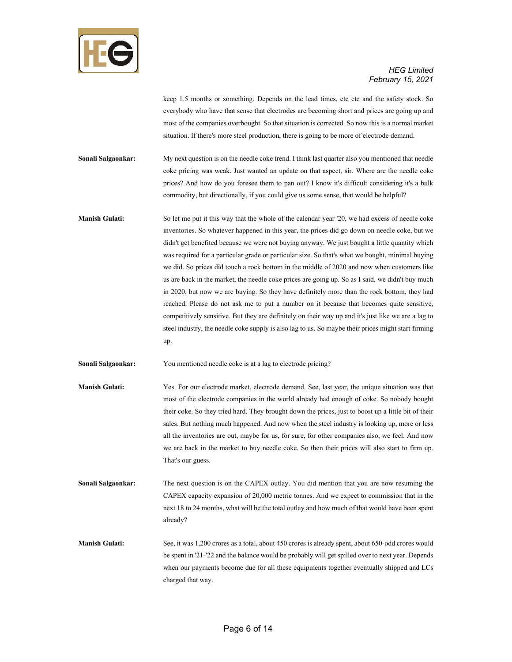

keep 1.5 months or something. Depends on the lead times, etc etc and the safety stock. So everybody who have that sense that electrodes are becoming short and prices are going up and most of the companies overbought. So that situation is corrected. So now this is a normal market situation. If there's more steel production, there is going to be more of electrode demand.

**Sonali Salgaonkar:** My next question is on the needle coke trend. I think last quarter also you mentioned that needle coke pricing was weak. Just wanted an update on that aspect, sir. Where are the needle coke prices? And how do you foresee them to pan out? I know it's difficult considering it's a bulk commodity, but directionally, if you could give us some sense, that would be helpful?

**Manish Gulati:** So let me put it this way that the whole of the calendar year '20, we had excess of needle coke inventories. So whatever happened in this year, the prices did go down on needle coke, but we didn't get benefited because we were not buying anyway. We just bought a little quantity which was required for a particular grade or particular size. So that's what we bought, minimal buying we did. So prices did touch a rock bottom in the middle of 2020 and now when customers like us are back in the market, the needle coke prices are going up. So as I said, we didn't buy much in 2020, but now we are buying. So they have definitely more than the rock bottom, they had reached. Please do not ask me to put a number on it because that becomes quite sensitive, competitively sensitive. But they are definitely on their way up and it's just like we are a lag to steel industry, the needle coke supply is also lag to us. So maybe their prices might start firming up.

**Sonali Salgaonkar:** You mentioned needle coke is at a lag to electrode pricing?

- **Manish Gulati:** Yes. For our electrode market, electrode demand. See, last year, the unique situation was that most of the electrode companies in the world already had enough of coke. So nobody bought their coke. So they tried hard. They brought down the prices, just to boost up a little bit of their sales. But nothing much happened. And now when the steel industry is looking up, more or less all the inventories are out, maybe for us, for sure, for other companies also, we feel. And now we are back in the market to buy needle coke. So then their prices will also start to firm up. That's our guess.
- **Sonali Salgaonkar:** The next question is on the CAPEX outlay. You did mention that you are now resuming the CAPEX capacity expansion of 20,000 metric tonnes. And we expect to commission that in the next 18 to 24 months, what will be the total outlay and how much of that would have been spent already?

**Manish Gulati:** See, it was 1,200 crores as a total, about 450 crores is already spent, about 650-odd crores would be spent in '21-'22 and the balance would be probably will get spilled over to next year. Depends when our payments become due for all these equipments together eventually shipped and LCs charged that way.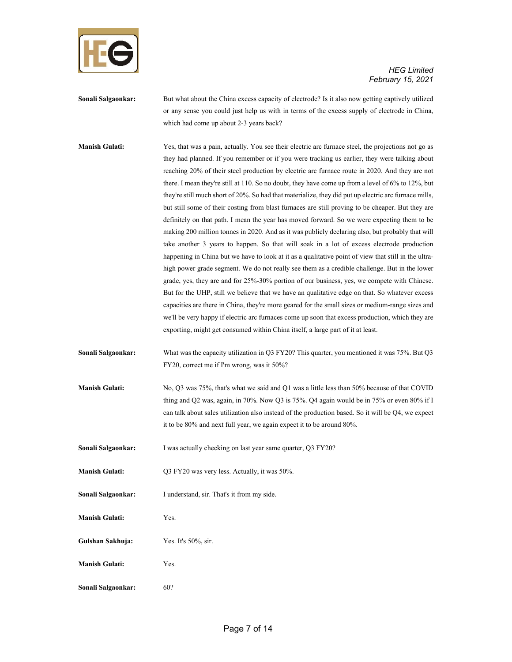

**Sonali Salgaonkar:** But what about the China excess capacity of electrode? Is it also now getting captively utilized or any sense you could just help us with in terms of the excess supply of electrode in China, which had come up about 2-3 years back?

**Manish Gulati:** Yes, that was a pain, actually. You see their electric arc furnace steel, the projections not go as they had planned. If you remember or if you were tracking us earlier, they were talking about reaching 20% of their steel production by electric arc furnace route in 2020. And they are not there. I mean they're still at 110. So no doubt, they have come up from a level of 6% to 12%, but they're still much short of 20%. So had that materialize, they did put up electric arc furnace mills, but still some of their costing from blast furnaces are still proving to be cheaper. But they are definitely on that path. I mean the year has moved forward. So we were expecting them to be making 200 million tonnes in 2020. And as it was publicly declaring also, but probably that will take another 3 years to happen. So that will soak in a lot of excess electrode production happening in China but we have to look at it as a qualitative point of view that still in the ultrahigh power grade segment. We do not really see them as a credible challenge. But in the lower grade, yes, they are and for 25%-30% portion of our business, yes, we compete with Chinese. But for the UHP, still we believe that we have an qualitative edge on that. So whatever excess capacities are there in China, they're more geared for the small sizes or medium-range sizes and we'll be very happy if electric arc furnaces come up soon that excess production, which they are exporting, might get consumed within China itself, a large part of it at least.

**Sonali Salgaonkar:** What was the capacity utilization in Q3 FY20? This quarter, you mentioned it was 75%. But Q3 FY20, correct me if I'm wrong, was it 50%?

**Manish Gulati:** No, Q3 was 75%, that's what we said and Q1 was a little less than 50% because of that COVID thing and Q2 was, again, in 70%. Now Q3 is 75%. Q4 again would be in 75% or even 80% if I can talk about sales utilization also instead of the production based. So it will be Q4, we expect it to be 80% and next full year, we again expect it to be around 80%.

**Sonali Salgaonkar:** I was actually checking on last year same quarter, O3 FY20?

- **Manish Gulati:** Q3 FY20 was very less. Actually, it was 50%.
- **Sonali Salgaonkar:** I understand, sir. That's it from my side.

**Manish Gulati:** Yes.

**Gulshan Sakhuja:** Yes. It's 50%, sir.

**Manish Gulati:** Yes.

**Sonali Salgaonkar:** 60?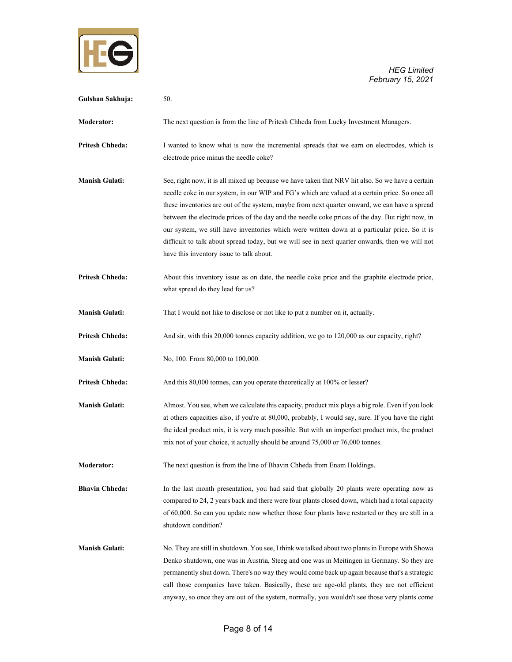

| Gulshan Sakhuja:       | 50.                                                                                                                                                                                                                                                                                                                                                                                                                                                                                                                                                                                                                                                      |
|------------------------|----------------------------------------------------------------------------------------------------------------------------------------------------------------------------------------------------------------------------------------------------------------------------------------------------------------------------------------------------------------------------------------------------------------------------------------------------------------------------------------------------------------------------------------------------------------------------------------------------------------------------------------------------------|
| <b>Moderator:</b>      | The next question is from the line of Pritesh Chheda from Lucky Investment Managers.                                                                                                                                                                                                                                                                                                                                                                                                                                                                                                                                                                     |
| <b>Pritesh Chheda:</b> | I wanted to know what is now the incremental spreads that we earn on electrodes, which is<br>electrode price minus the needle coke?                                                                                                                                                                                                                                                                                                                                                                                                                                                                                                                      |
| <b>Manish Gulati:</b>  | See, right now, it is all mixed up because we have taken that NRV hit also. So we have a certain<br>needle coke in our system, in our WIP and FG's which are valued at a certain price. So once all<br>these inventories are out of the system, maybe from next quarter onward, we can have a spread<br>between the electrode prices of the day and the needle coke prices of the day. But right now, in<br>our system, we still have inventories which were written down at a particular price. So it is<br>difficult to talk about spread today, but we will see in next quarter onwards, then we will not<br>have this inventory issue to talk about. |
| <b>Pritesh Chheda:</b> | About this inventory issue as on date, the needle coke price and the graphite electrode price,<br>what spread do they lead for us?                                                                                                                                                                                                                                                                                                                                                                                                                                                                                                                       |
| <b>Manish Gulati:</b>  | That I would not like to disclose or not like to put a number on it, actually.                                                                                                                                                                                                                                                                                                                                                                                                                                                                                                                                                                           |
| <b>Pritesh Chheda:</b> | And sir, with this 20,000 tonnes capacity addition, we go to 120,000 as our capacity, right?                                                                                                                                                                                                                                                                                                                                                                                                                                                                                                                                                             |
| <b>Manish Gulati:</b>  | No, 100. From 80,000 to 100,000.                                                                                                                                                                                                                                                                                                                                                                                                                                                                                                                                                                                                                         |
| <b>Pritesh Chheda:</b> | And this 80,000 tonnes, can you operate theoretically at 100% or lesser?                                                                                                                                                                                                                                                                                                                                                                                                                                                                                                                                                                                 |
| <b>Manish Gulati:</b>  | Almost. You see, when we calculate this capacity, product mix plays a big role. Even if you look<br>at others capacities also, if you're at 80,000, probably, I would say, sure. If you have the right<br>the ideal product mix, it is very much possible. But with an imperfect product mix, the product<br>mix not of your choice, it actually should be around 75,000 or 76,000 tonnes.                                                                                                                                                                                                                                                               |
| Moderator:             | The next question is from the line of Bhavin Chheda from Enam Holdings.                                                                                                                                                                                                                                                                                                                                                                                                                                                                                                                                                                                  |
| <b>Bhavin Chheda:</b>  | In the last month presentation, you had said that globally 20 plants were operating now as<br>compared to 24, 2 years back and there were four plants closed down, which had a total capacity<br>of 60,000. So can you update now whether those four plants have restarted or they are still in a<br>shutdown condition?                                                                                                                                                                                                                                                                                                                                 |
| <b>Manish Gulati:</b>  | No. They are still in shutdown. You see, I think we talked about two plants in Europe with Showa<br>Denko shutdown, one was in Austria, Steeg and one was in Meitingen in Germany. So they are<br>permanently shut down. There's no way they would come back up again because that's a strategic<br>call those companies have taken. Basically, these are age-old plants, they are not efficient<br>anyway, so once they are out of the system, normally, you wouldn't see those very plants come                                                                                                                                                        |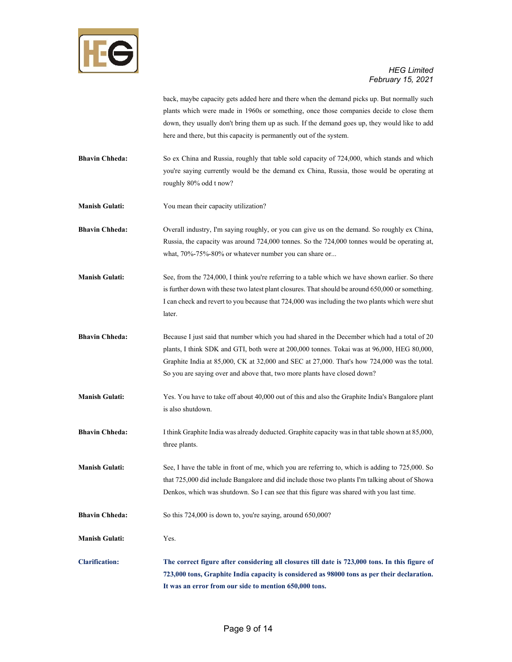

back, maybe capacity gets added here and there when the demand picks up. But normally such plants which were made in 1960s or something, once those companies decide to close them down, they usually don't bring them up as such. If the demand goes up, they would like to add here and there, but this capacity is permanently out of the system.

- **Bhavin Chheda:** So ex China and Russia, roughly that table sold capacity of 724,000, which stands and which you're saying currently would be the demand ex China, Russia, those would be operating at roughly 80% odd t now?
- **Manish Gulati:** You mean their capacity utilization?
- **Bhavin Chheda:** Overall industry, I'm saying roughly, or you can give us on the demand. So roughly ex China, Russia, the capacity was around 724,000 tonnes. So the 724,000 tonnes would be operating at, what, 70%-75%-80% or whatever number you can share or...
- **Manish Gulati:** See, from the 724,000, I think you're referring to a table which we have shown earlier. So there is further down with these two latest plant closures. That should be around 650,000 or something. I can check and revert to you because that 724,000 was including the two plants which were shut later.
- **Bhavin Chheda:** Because I just said that number which you had shared in the December which had a total of 20 plants, I think SDK and GTI, both were at 200,000 tonnes. Tokai was at 96,000, HEG 80,000, Graphite India at 85,000, CK at 32,000 and SEC at 27,000. That's how 724,000 was the total. So you are saying over and above that, two more plants have closed down?
- **Manish Gulati:** Yes. You have to take off about 40,000 out of this and also the Graphite India's Bangalore plant is also shutdown.
- **Bhavin Chheda:** I think Graphite India was already deducted. Graphite capacity was in that table shown at 85,000, three plants.
- **Manish Gulati:** See, I have the table in front of me, which you are referring to, which is adding to 725,000. So that 725,000 did include Bangalore and did include those two plants I'm talking about of Showa Denkos, which was shutdown. So I can see that this figure was shared with you last time.
- **Bhavin Chheda:** So this 724,000 is down to, you're saying, around 650,000?
- **Manish Gulati:** Yes.
- **Clarification: The correct figure after considering all closures till date is 723,000 tons. In this figure of 723,000 tons, Graphite India capacity is considered as 98000 tons as per their declaration. It was an error from our side to mention 650,000 tons.**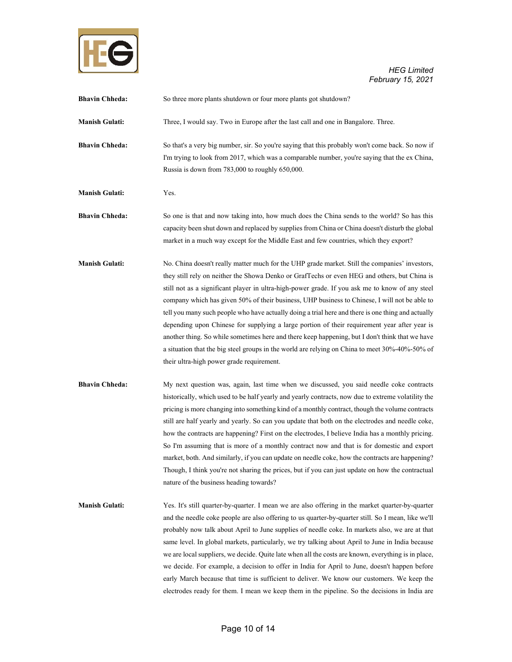

*HEG Limited*  $\blacksquare$ *February 15, 2021* 

| <b>Bhavin Chheda:</b> | So three more plants shutdown or four more plants got shutdown?                                                                                                                                                                                                                                                                                                                                                                                                                                                                                                                                                                                                                                                                                                                                                                                            |
|-----------------------|------------------------------------------------------------------------------------------------------------------------------------------------------------------------------------------------------------------------------------------------------------------------------------------------------------------------------------------------------------------------------------------------------------------------------------------------------------------------------------------------------------------------------------------------------------------------------------------------------------------------------------------------------------------------------------------------------------------------------------------------------------------------------------------------------------------------------------------------------------|
| <b>Manish Gulati:</b> | Three, I would say. Two in Europe after the last call and one in Bangalore. Three.                                                                                                                                                                                                                                                                                                                                                                                                                                                                                                                                                                                                                                                                                                                                                                         |
| <b>Bhavin Chheda:</b> | So that's a very big number, sir. So you're saying that this probably won't come back. So now if<br>I'm trying to look from 2017, which was a comparable number, you're saying that the ex China,<br>Russia is down from 783,000 to roughly 650,000.                                                                                                                                                                                                                                                                                                                                                                                                                                                                                                                                                                                                       |
| <b>Manish Gulati:</b> | Yes.                                                                                                                                                                                                                                                                                                                                                                                                                                                                                                                                                                                                                                                                                                                                                                                                                                                       |
| <b>Bhavin Chheda:</b> | So one is that and now taking into, how much does the China sends to the world? So has this<br>capacity been shut down and replaced by supplies from China or China doesn't disturb the global<br>market in a much way except for the Middle East and few countries, which they export?                                                                                                                                                                                                                                                                                                                                                                                                                                                                                                                                                                    |
| <b>Manish Gulati:</b> | No. China doesn't really matter much for the UHP grade market. Still the companies' investors,<br>they still rely on neither the Showa Denko or GrafTechs or even HEG and others, but China is<br>still not as a significant player in ultra-high-power grade. If you ask me to know of any steel<br>company which has given 50% of their business, UHP business to Chinese, I will not be able to<br>tell you many such people who have actually doing a trial here and there is one thing and actually<br>depending upon Chinese for supplying a large portion of their requirement year after year is<br>another thing. So while sometimes here and there keep happening, but I don't think that we have<br>a situation that the big steel groups in the world are relying on China to meet 30%-40%-50% of<br>their ultra-high power grade requirement. |
| <b>Bhavin Chheda:</b> | My next question was, again, last time when we discussed, you said needle coke contracts<br>historically, which used to be half yearly and yearly contracts, now due to extreme volatility the<br>pricing is more changing into something kind of a monthly contract, though the volume contracts<br>still are half yearly and yearly. So can you update that both on the electrodes and needle coke,<br>how the contracts are happening? First on the electrodes, I believe India has a monthly pricing.<br>So I'm assuming that is more of a monthly contract now and that is for domestic and export<br>market, both. And similarly, if you can update on needle coke, how the contracts are happening?<br>Though, I think you're not sharing the prices, but if you can just update on how the contractual<br>nature of the business heading towards?  |
| <b>Manish Gulati:</b> | Yes. It's still quarter-by-quarter. I mean we are also offering in the market quarter-by-quarter<br>and the needle coke people are also offering to us quarter-by-quarter still. So I mean, like we'll<br>probably now talk about April to June supplies of needle coke. In markets also, we are at that<br>same level. In global markets, particularly, we try talking about April to June in India because<br>we are local suppliers, we decide. Quite late when all the costs are known, everything is in place,<br>we decide. For example, a decision to offer in India for April to June, doesn't happen before<br>early March because that time is sufficient to deliver. We know our customers. We keep the<br>electrodes ready for them. I mean we keep them in the pipeline. So the decisions in India are                                        |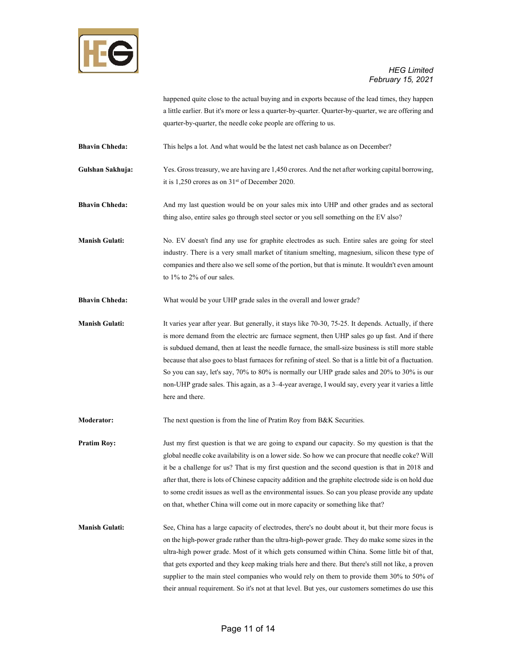

happened quite close to the actual buying and in exports because of the lead times, they happen a little earlier. But it's more or less a quarter-by-quarter. Quarter-by-quarter, we are offering and quarter-by-quarter, the needle coke people are offering to us.

**Bhavin Chheda:** This helps a lot. And what would be the latest net cash balance as on December?

**Gulshan Sakhuja:** Yes. Gross treasury, we are having are 1,450 crores. And the net after working capital borrowing, it is 1,250 crores as on 31st of December 2020.

**Bhavin Chheda:** And my last question would be on your sales mix into UHP and other grades and as sectoral thing also, entire sales go through steel sector or you sell something on the EV also?

**Manish Gulati:** No. EV doesn't find any use for graphite electrodes as such. Entire sales are going for steel industry. There is a very small market of titanium smelting, magnesium, silicon these type of companies and there also we sell some of the portion, but that is minute. It wouldn't even amount to 1% to 2% of our sales.

**Bhavin Chheda:** What would be your UHP grade sales in the overall and lower grade?

**Manish Gulati:** It varies year after year. But generally, it stays like 70-30, 75-25. It depends. Actually, if there is more demand from the electric arc furnace segment, then UHP sales go up fast. And if there is subdued demand, then at least the needle furnace, the small-size business is still more stable because that also goes to blast furnaces for refining of steel. So that is a little bit of a fluctuation. So you can say, let's say, 70% to 80% is normally our UHP grade sales and 20% to 30% is our non-UHP grade sales. This again, as a 3–4-year average, I would say, every year it varies a little here and there.

**Moderator:** The next question is from the line of Pratim Roy from B&K Securities.

**Pratim Roy:** Just my first question is that we are going to expand our capacity. So my question is that the global needle coke availability is on a lower side. So how we can procure that needle coke? Will it be a challenge for us? That is my first question and the second question is that in 2018 and after that, there is lots of Chinese capacity addition and the graphite electrode side is on hold due to some credit issues as well as the environmental issues. So can you please provide any update on that, whether China will come out in more capacity or something like that?

**Manish Gulati:** See, China has a large capacity of electrodes, there's no doubt about it, but their more focus is on the high-power grade rather than the ultra-high-power grade. They do make some sizes in the ultra-high power grade. Most of it which gets consumed within China. Some little bit of that, that gets exported and they keep making trials here and there. But there's still not like, a proven supplier to the main steel companies who would rely on them to provide them 30% to 50% of their annual requirement. So it's not at that level. But yes, our customers sometimes do use this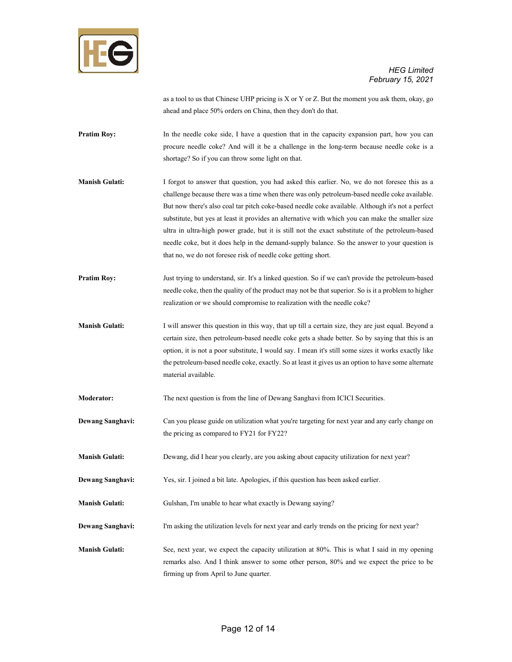

as a tool to us that Chinese UHP pricing is X or Y or Z. But the moment you ask them, okay, go ahead and place 50% orders on China, then they don't do that.

- **Pratim Roy:** In the needle coke side, I have a question that in the capacity expansion part, how you can procure needle coke? And will it be a challenge in the long-term because needle coke is a shortage? So if you can throw some light on that.
- **Manish Gulati:** I forgot to answer that question, you had asked this earlier. No, we do not foresee this as a challenge because there was a time when there was only petroleum-based needle coke available. But now there's also coal tar pitch coke-based needle coke available. Although it's not a perfect substitute, but yes at least it provides an alternative with which you can make the smaller size ultra in ultra-high power grade, but it is still not the exact substitute of the petroleum-based needle coke, but it does help in the demand-supply balance. So the answer to your question is that no, we do not foresee risk of needle coke getting short.
- **Pratim Roy:** Just trying to understand, sir. It's a linked question. So if we can't provide the petroleum-based needle coke, then the quality of the product may not be that superior. So is it a problem to higher realization or we should compromise to realization with the needle coke?
- **Manish Gulati:** I will answer this question in this way, that up till a certain size, they are just equal. Beyond a certain size, then petroleum-based needle coke gets a shade better. So by saying that this is an option, it is not a poor substitute, I would say. I mean it's still some sizes it works exactly like the petroleum-based needle coke, exactly. So at least it gives us an option to have some alternate material available.
- **Moderator:** The next question is from the line of Dewang Sanghavi from ICICI Securities.
- **Dewang Sanghavi:** Can you please guide on utilization what you're targeting for next year and any early change on the pricing as compared to FY21 for FY22?
- **Manish Gulati:** Dewang, did I hear you clearly, are you asking about capacity utilization for next year?
- **Dewang Sanghavi:** Yes, sir. I joined a bit late. Apologies, if this question has been asked earlier.
- **Manish Gulati:** Gulshan, I'm unable to hear what exactly is Dewang saying?
- **Dewang Sanghavi:** I'm asking the utilization levels for next year and early trends on the pricing for next year?
- **Manish Gulati:** See, next year, we expect the capacity utilization at 80%. This is what I said in my opening remarks also. And I think answer to some other person, 80% and we expect the price to be firming up from April to June quarter.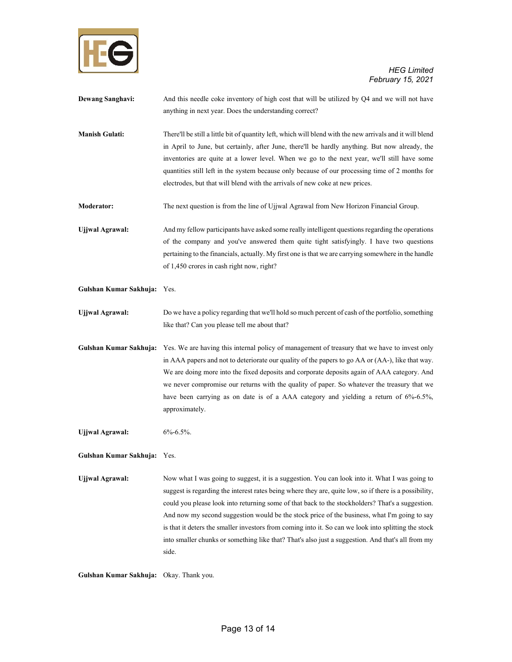

| <b>Dewang Sanghavi:</b>     | And this needle coke inventory of high cost that will be utilized by Q4 and we will not have<br>anything in next year. Does the understanding correct?                                                                                                                                                                                                                                                                                                                                                                                                                                                                             |
|-----------------------------|------------------------------------------------------------------------------------------------------------------------------------------------------------------------------------------------------------------------------------------------------------------------------------------------------------------------------------------------------------------------------------------------------------------------------------------------------------------------------------------------------------------------------------------------------------------------------------------------------------------------------------|
| <b>Manish Gulati:</b>       | There'll be still a little bit of quantity left, which will blend with the new arrivals and it will blend<br>in April to June, but certainly, after June, there'll be hardly anything. But now already, the<br>inventories are quite at a lower level. When we go to the next year, we'll still have some<br>quantities still left in the system because only because of our processing time of 2 months for<br>electrodes, but that will blend with the arrivals of new coke at new prices.                                                                                                                                       |
| Moderator:                  | The next question is from the line of Ujjwal Agrawal from New Horizon Financial Group.                                                                                                                                                                                                                                                                                                                                                                                                                                                                                                                                             |
| <b>Ujjwal Agrawal:</b>      | And my fellow participants have asked some really intelligent questions regarding the operations<br>of the company and you've answered them quite tight satisfyingly. I have two questions<br>pertaining to the financials, actually. My first one is that we are carrying somewhere in the handle<br>of 1,450 crores in cash right now, right?                                                                                                                                                                                                                                                                                    |
| Gulshan Kumar Sakhuja: Yes. |                                                                                                                                                                                                                                                                                                                                                                                                                                                                                                                                                                                                                                    |
| <b>Ujjwal Agrawal:</b>      | Do we have a policy regarding that we'll hold so much percent of cash of the portfolio, something<br>like that? Can you please tell me about that?                                                                                                                                                                                                                                                                                                                                                                                                                                                                                 |
| Gulshan Kumar Sakhuja:      | Yes. We are having this internal policy of management of treasury that we have to invest only<br>in AAA papers and not to deteriorate our quality of the papers to go AA or (AA-), like that way.<br>We are doing more into the fixed deposits and corporate deposits again of AAA category. And<br>we never compromise our returns with the quality of paper. So whatever the treasury that we<br>have been carrying as on date is of a AAA category and yielding a return of 6%-6.5%,<br>approximately.                                                                                                                          |
| <b>Ujjwal Agrawal:</b>      | $6\% - 6.5\%$ .                                                                                                                                                                                                                                                                                                                                                                                                                                                                                                                                                                                                                    |
| Gulshan Kumar Sakhuja: Yes. |                                                                                                                                                                                                                                                                                                                                                                                                                                                                                                                                                                                                                                    |
| <b>Ujjwal Agrawal:</b>      | Now what I was going to suggest, it is a suggestion. You can look into it. What I was going to<br>suggest is regarding the interest rates being where they are, quite low, so if there is a possibility,<br>could you please look into returning some of that back to the stockholders? That's a suggestion.<br>And now my second suggestion would be the stock price of the business, what I'm going to say<br>is that it deters the smaller investors from coming into it. So can we look into splitting the stock<br>into smaller chunks or something like that? That's also just a suggestion. And that's all from my<br>side. |

**Gulshan Kumar Sakhuja:** Okay. Thank you.